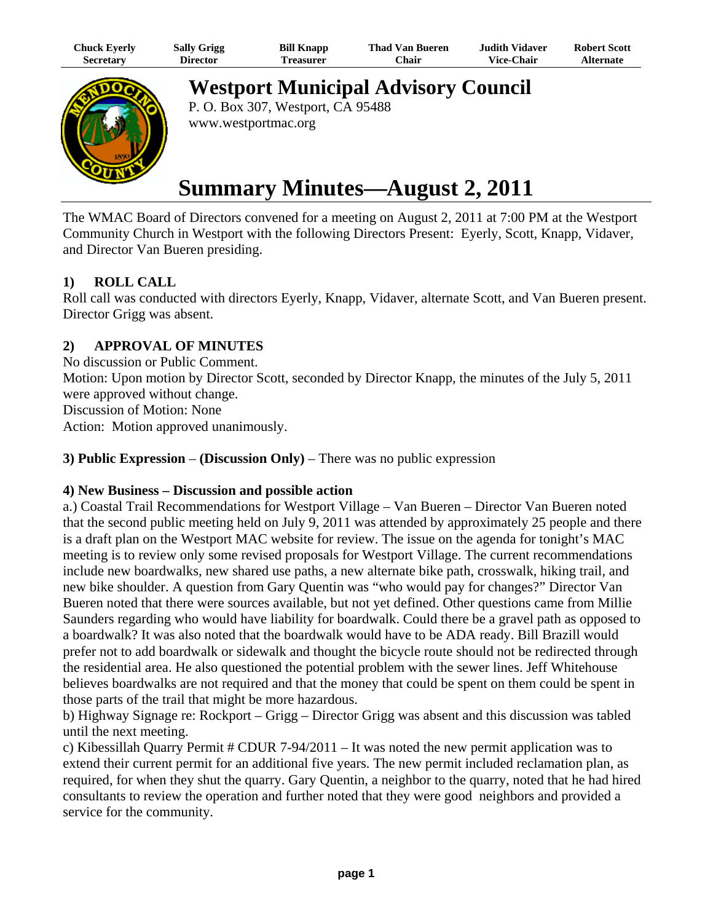| Chuck Eyerly     | <b>Sally Grigg</b> | <b>Bill Knapp</b> | Thad Van Bueren | Judith Vidaver.   | <b>Robert Scott</b> |
|------------------|--------------------|-------------------|-----------------|-------------------|---------------------|
| <b>Secretary</b> | Director           | `reasurer         | ∵hair           | <b>Vice-Chair</b> | <b>Alternate</b>    |



**Westport Municipal Advisory Council**

P. O. Box 307, Westport, CA 95488 www.westportmac.org

# **Summary Minutes—August 2, 2011**

The WMAC Board of Directors convened for a meeting on August 2, 2011 at 7:00 PM at the Westport Community Church in Westport with the following Directors Present: Eyerly, Scott, Knapp, Vidaver, and Director Van Bueren presiding.

# **1) ROLL CALL**

Roll call was conducted with directors Eyerly, Knapp, Vidaver, alternate Scott, and Van Bueren present. Director Grigg was absent.

## **2) APPROVAL OF MINUTES**

No discussion or Public Comment. Motion: Upon motion by Director Scott, seconded by Director Knapp, the minutes of the July 5, 2011 were approved without change. Discussion of Motion: None Action: Motion approved unanimously.

## **3) Public Expression** – **(Discussion Only)** – There was no public expression

## **4) New Business – Discussion and possible action**

a.) Coastal Trail Recommendations for Westport Village – Van Bueren – Director Van Bueren noted that the second public meeting held on July 9, 2011 was attended by approximately 25 people and there is a draft plan on the Westport MAC website for review. The issue on the agenda for tonight's MAC meeting is to review only some revised proposals for Westport Village. The current recommendations include new boardwalks, new shared use paths, a new alternate bike path, crosswalk, hiking trail, and new bike shoulder. A question from Gary Quentin was "who would pay for changes?" Director Van Bueren noted that there were sources available, but not yet defined. Other questions came from Millie Saunders regarding who would have liability for boardwalk. Could there be a gravel path as opposed to a boardwalk? It was also noted that the boardwalk would have to be ADA ready. Bill Brazill would prefer not to add boardwalk or sidewalk and thought the bicycle route should not be redirected through the residential area. He also questioned the potential problem with the sewer lines. Jeff Whitehouse believes boardwalks are not required and that the money that could be spent on them could be spent in those parts of the trail that might be more hazardous.

b) Highway Signage re: Rockport – Grigg – Director Grigg was absent and this discussion was tabled until the next meeting.

c) Kibessillah Quarry Permit  $# \text{CDUR } 7-94/2011 -$  It was noted the new permit application was to extend their current permit for an additional five years. The new permit included reclamation plan, as required, for when they shut the quarry. Gary Quentin, a neighbor to the quarry, noted that he had hired consultants to review the operation and further noted that they were good neighbors and provided a service for the community.